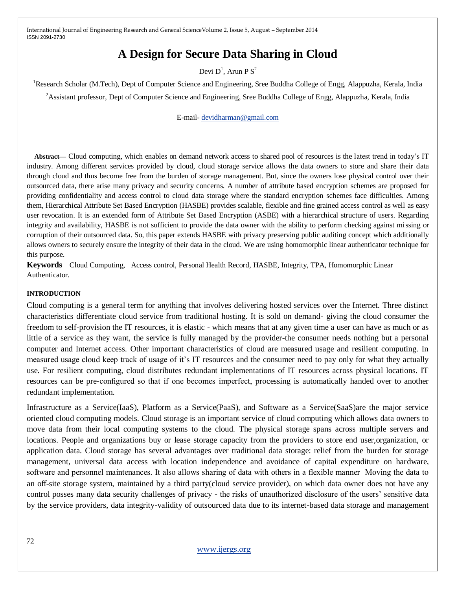# **A Design for Secure Data Sharing in Cloud**

## Devi  $D^1$ , Arun P  $S^2$

<sup>1</sup>Research Scholar (M.Tech), Dept of Computer Science and Engineering, Sree Buddha College of Engg, Alappuzha, Kerala, India <sup>2</sup>Assistant professor, Dept of Computer Science and Engineering, Sree Buddha College of Engg, Alappuzha, Kerala, India

E-mail- [devidharman@gmail.com](mailto:devidharman@gmail.com)

**Abstract—** Cloud computing, which enables on demand network access to shared pool of resources is the latest trend in today's IT industry. Among different services provided by cloud, cloud storage service allows the data owners to store and share their data through cloud and thus become free from the burden of storage management. But, since the owners lose physical control over their outsourced data, there arise many privacy and security concerns. A number of attribute based encryption schemes are proposed for providing confidentiality and access control to cloud data storage where the standard encryption schemes face difficulties. Among them, Hierarchical Attribute Set Based Encryption (HASBE) provides scalable, flexible and fine grained access control as well as easy user revocation. It is an extended form of Attribute Set Based Encryption (ASBE) with a hierarchical structure of users. Regarding integrity and availability, HASBE is not sufficient to provide the data owner with the ability to perform checking against missing or corruption of their outsourced data. So, this paper extends HASBE with privacy preserving public auditing concept which additionally allows owners to securely ensure the integrity of their data in the cloud. We are using homomorphic linear authenticator technique for this purpose.

**Keywords**— Cloud Computing, Access control, Personal Health Record, HASBE, Integrity, TPA, Homomorphic Linear Authenticator.

#### **INTRODUCTION**

Cloud computing is a general term for anything that involves delivering hosted services over the Internet. Three distinct characteristics differentiate cloud service from traditional hosting. It is sold on demand- giving the cloud consumer the freedom to self-provision the IT resources, it is elastic - which means that at any given time a user can have as much or as little of a service as they want, the service is fully managed by the provider-the consumer needs nothing but a personal computer and Internet access. Other important characteristics of cloud are measured usage and resilient computing. In measured usage cloud keep track of usage of it's IT resources and the consumer need to pay only for what they actually use. For resilient computing, cloud distributes redundant implementations of IT resources across physical locations. IT resources can be pre-configured so that if one becomes imperfect, processing is automatically handed over to another redundant implementation.

Infrastructure as a Service(IaaS), Platform as a Service(PaaS), and Software as a Service(SaaS)are the major service oriented cloud computing models. Cloud storage is an important service of cloud computing which allows data owners to move data from their local computing systems to the cloud. The physical storage spans across multiple servers and locations. People and organizations buy or lease storage capacity from the providers to store end user,organization, or application data. Cloud storage has several advantages over traditional data storage: relief from the burden for storage management, universal data access with location independence and avoidance of capital expenditure on hardware, software and personnel maintenances. It also allows sharing of data with others in a flexible manner Moving the data to an off-site storage system, maintained by a third party(cloud service provider), on which data owner does not have any control posses many data security challenges of privacy - the risks of unauthorized disclosure of the users' sensitive data by the service providers, data integrity-validity of outsourced data due to its internet-based data storage and management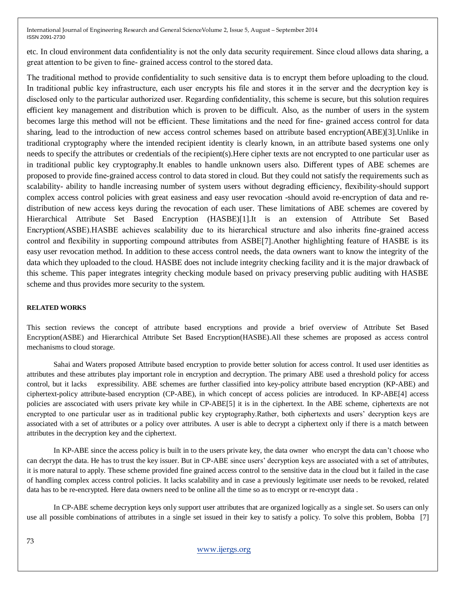etc. In cloud environment data confidentiality is not the only data security requirement. Since cloud allows data sharing, a great attention to be given to fine- grained access control to the stored data.

The traditional method to provide confidentiality to such sensitive data is to encrypt them before uploading to the cloud. In traditional public key infrastructure, each user encrypts his file and stores it in the server and the decryption key is disclosed only to the particular authorized user. Regarding confidentiality, this scheme is secure, but this solution requires efficient key management and distribution which is proven to be difficult. Also, as the number of users in the system becomes large this method will not be efficient. These limitations and the need for fine- grained access control for data sharing, lead to the introduction of new access control schemes based on attribute based encryption(ABE)[3].Unlike in traditional cryptography where the intended recipient identity is clearly known, in an attribute based systems one only needs to specify the attributes or credentials of the recipient(s).Here cipher texts are not encrypted to one particular user as in traditional public key cryptography.It enables to handle unknown users also. Different types of ABE schemes are proposed to provide fine-grained access control to data stored in cloud. But they could not satisfy the requirements such as scalability- ability to handle increasing number of system users without degrading efficiency, flexibility-should support complex access control policies with great easiness and easy user revocation -should avoid re-encryption of data and redistribution of new access keys during the revocation of each user. These limitations of ABE schemes are covered by Hierarchical Attribute Set Based Encryption (HASBE)[1].It is an extension of Attribute Set Based Encryption(ASBE).HASBE achieves scalability due to its hierarchical structure and also inherits fine-grained access control and flexibility in supporting compound attributes from ASBE[7].Another highlighting feature of HASBE is its easy user revocation method. In addition to these access control needs, the data owners want to know the integrity of the data which they uploaded to the cloud. HASBE does not include integrity checking facility and it is the major drawback of this scheme. This paper integrates integrity checking module based on privacy preserving public auditing with HASBE scheme and thus provides more security to the system.

### **RELATED WORKS**

This section reviews the concept of attribute based encryptions and provide a brief overview of Attribute Set Based Encryption(ASBE) and Hierarchical Attribute Set Based Encryption(HASBE).All these schemes are proposed as access control mechanisms to cloud storage.

Sahai and Waters proposed Attribute based encryption to provide better solution for access control. It used user identities as attributes and these attributes play important role in encryption and decryption. The primary ABE used a threshold policy for access control, but it lacks expressibility. ABE schemes are further classified into key-policy attribute based encryption (KP-ABE) and ciphertext-policy attribute-based encryption (CP-ABE), in which concept of access policies are introduced. In KP-ABE[4] access policies are asscociated with users private key while in CP-ABE[5] it is in the ciphertext. In the ABE scheme, ciphertexts are not encrypted to one particular user as in traditional public key cryptography.Rather, both ciphertexts and users' decryption keys are associated with a set of attributes or a policy over attributes. A user is able to decrypt a ciphertext only if there is a match between attributes in the decryption key and the ciphertext.

In KP-ABE since the access policy is built in to the users private key, the data owner who encrypt the data can't choose who can decrypt the data. He has to trust the key issuer. But in CP-ABE since users' decryption keys are associated with a set of attributes, it is more natural to apply. These scheme provided fine grained access control to the sensitive data in the cloud but it failed in the case of handling complex access control policies. It lacks scalability and in case a previously legitimate user needs to be revoked, related data has to be re-encrypted. Here data owners need to be online all the time so as to encrypt or re-encrypt data .

In CP-ABE scheme decryption keys only support user attributes that are organized logically as a single set. So users can only use all possible combinations of attributes in a single set issued in their key to satisfy a policy. To solve this problem, Bobba [7]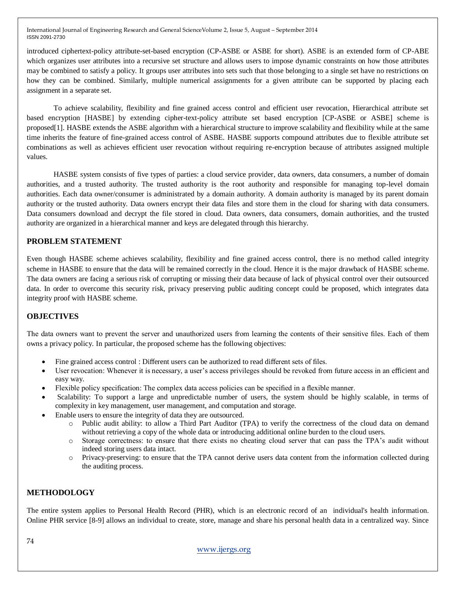introduced ciphertext-policy attribute-set-based encryption (CP-ASBE or ASBE for short). ASBE is an extended form of CP-ABE which organizes user attributes into a recursive set structure and allows users to impose dynamic constraints on how those attributes may be combined to satisfy a policy. It groups user attributes into sets such that those belonging to a single set have no restrictions on how they can be combined. Similarly, multiple numerical assignments for a given attribute can be supported by placing each assignment in a separate set.

To achieve scalability, flexibility and fine grained access control and efficient user revocation, Hierarchical attribute set based encryption [HASBE] by extending cipher-text-policy attribute set based encryption [CP-ASBE or ASBE] scheme is proposed[1]. HASBE extends the ASBE algorithm with a hierarchical structure to improve scalability and flexibility while at the same time inherits the feature of fine-grained access control of ASBE. HASBE supports compound attributes due to flexible attribute set combinations as well as achieves efficient user revocation without requiring re-encryption because of attributes assigned multiple values.

HASBE system consists of five types of parties: a cloud service provider, data owners, data consumers, a number of domain authorities, and a trusted authority. The trusted authority is the root authority and responsible for managing top-level domain authorities. Each data owner/consumer is administrated by a domain authority. A domain authority is managed by its parent domain authority or the trusted authority. Data owners encrypt their data files and store them in the cloud for sharing with data consumers. Data consumers download and decrypt the file stored in cloud. Data owners, data consumers, domain authorities, and the trusted authority are organized in a hierarchical manner and keys are delegated through this hierarchy.

## **PROBLEM STATEMENT**

Even though HASBE scheme achieves scalability, flexibility and fine grained access control, there is no method called integrity scheme in HASBE to ensure that the data will be remained correctly in the cloud. Hence it is the major drawback of HASBE scheme. The data owners are facing a serious risk of corrupting or missing their data because of lack of physical control over their outsourced data. In order to overcome this security risk, privacy preserving public auditing concept could be proposed, which integrates data integrity proof with HASBE scheme.

## **OBJECTIVES**

The data owners want to prevent the server and unauthorized users from learning the contents of their sensitive files. Each of them owns a privacy policy. In particular, the proposed scheme has the following objectives:

- Fine grained access control : Different users can be authorized to read different sets of files.
- User revocation: Whenever it is necessary, a user's access privileges should be revoked from future access in an efficient and easy way.
- Flexible policy specification: The complex data access policies can be specified in a flexible manner.
- Scalability: To support a large and unpredictable number of users, the system should be highly scalable, in terms of complexity in key management, user management, and computation and storage.
- Enable users to ensure the integrity of data they are outsourced.
	- o Public audit ability: to allow a Third Part Auditor (TPA) to verify the correctness of the cloud data on demand without retrieving a copy of the whole data or introducing additional online burden to the cloud users.
	- o Storage correctness: to ensure that there exists no cheating cloud server that can pass the TPA's audit without indeed storing users data intact.
	- o Privacy-preserving: to ensure that the TPA cannot derive users data content from the information collected during the auditing process.

## **METHODOLOGY**

The entire system applies to Personal Health Record (PHR), which is an electronic record of an individual's health information. Online PHR service [8-9] allows an individual to create, store, manage and share his personal health data in a centralized way. Since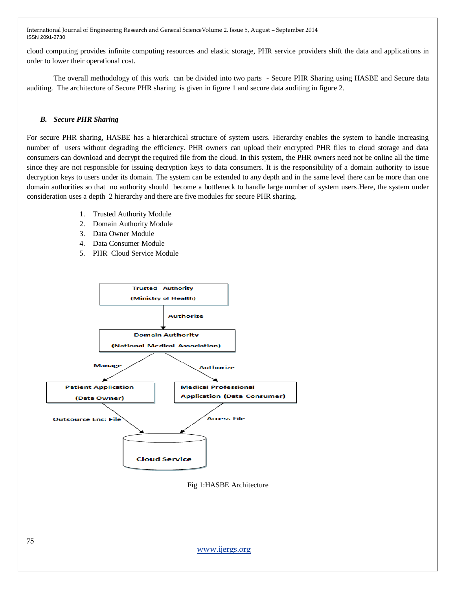cloud computing provides infinite computing resources and elastic storage, PHR service providers shift the data and applications in order to lower their operational cost.

The overall methodology of this work can be divided into two parts - Secure PHR Sharing using HASBE and Secure data auditing. The architecture of Secure PHR sharing is given in figure 1 and secure data auditing in figure 2.

## *B. Secure PHR Sharing*

For secure PHR sharing, HASBE has a hierarchical structure of system users. Hierarchy enables the system to handle increasing number of users without degrading the efficiency. PHR owners can upload their encrypted PHR files to cloud storage and data consumers can download and decrypt the required file from the cloud. In this system, the PHR owners need not be online all the time since they are not responsible for issuing decryption keys to data consumers. It is the responsibility of a domain authority to issue decryption keys to users under its domain. The system can be extended to any depth and in the same level there can be more than one domain authorities so that no authority should become a bottleneck to handle large number of system users.Here, the system under consideration uses a depth 2 hierarchy and there are five modules for secure PHR sharing.

- 1. Trusted Authority Module
- 2. Domain Authority Module
- 3. Data Owner Module
- 4. Data Consumer Module
- 5. PHR Cloud Service Module



Fig 1:HASBE Architecture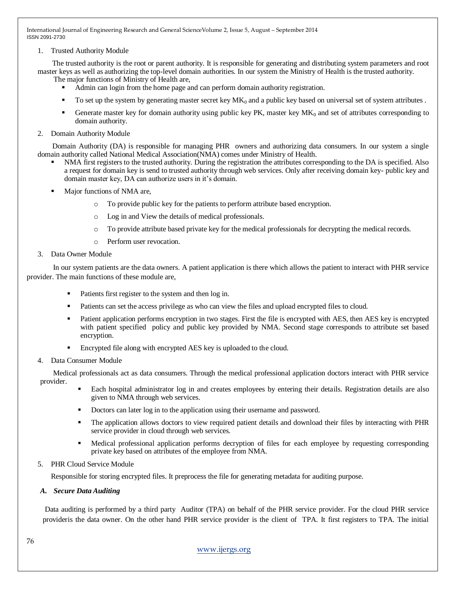#### 1. Trusted Authority Module

 The trusted authority is the root or parent authority. It is responsible for generating and distributing system parameters and root master keys as well as authorizing the top-level domain authorities. In our system the Ministry of Health is the trusted authority.

The major functions of Ministry of Health are,

- Admin can login from the home page and can perform domain authority registration.
- To set up the system by generating master secret key  $MK_0$  and a public key based on universal set of system attributes.
- Generate master key for domain authority using public key PK, master key  $MK<sub>0</sub>$  and set of attributes corresponding to domain authority.

#### 2. Domain Authority Module

 Domain Authority (DA) is responsible for managing PHR owners and authorizing data consumers. In our system a single domain authority called National Medical Association(NMA) comes under Ministry of Health.

- NMA first registers to the trusted authority. During the registration the attributes corresponding to the DA is specified. Also a request for domain key is send to trusted authority through web services. Only after receiving domain key- public key and domain master key, DA can authorize users in it's domain.
- Major functions of NMA are,
	- o To provide public key for the patients to perform attribute based encryption.
	- o Log in and View the details of medical professionals.
	- o To provide attribute based private key for the medical professionals for decrypting the medical records.
	- o Perform user revocation.
- 3. Data Owner Module

 In our system patients are the data owners. A patient application is there which allows the patient to interact with PHR service provider. The main functions of these module are,

- Patients first register to the system and then log in.
- Patients can set the access privilege as who can view the files and upload encrypted files to cloud.
- Patient application performs encryption in two stages. First the file is encrypted with AES, then AES key is encrypted with patient specified policy and public key provided by NMA. Second stage corresponds to attribute set based encryption.
- Encrypted file along with encrypted AES key is uploaded to the cloud.

### 4. Data Consumer Module

 Medical professionals act as data consumers. Through the medical professional application doctors interact with PHR service provider.

- Each hospital administrator log in and creates employees by entering their details. Registration details are also given to NMA through web services.
- Doctors can later log in to the application using their username and password.
- The application allows doctors to view required patient details and download their files by interacting with PHR service provider in cloud through web services.
- Medical professional application performs decryption of files for each employee by requesting corresponding private key based on attributes of the employee from NMA.

### 5. PHR Cloud Service Module

Responsible for storing encrypted files. It preprocess the file for generating metadata for auditing purpose.

### *A. Secure Data Auditing*

 Data auditing is performed by a third party Auditor (TPA) on behalf of the PHR service provider. For the cloud PHR service provideris the data owner. On the other hand PHR service provider is the client of TPA. It first registers to TPA. The initial